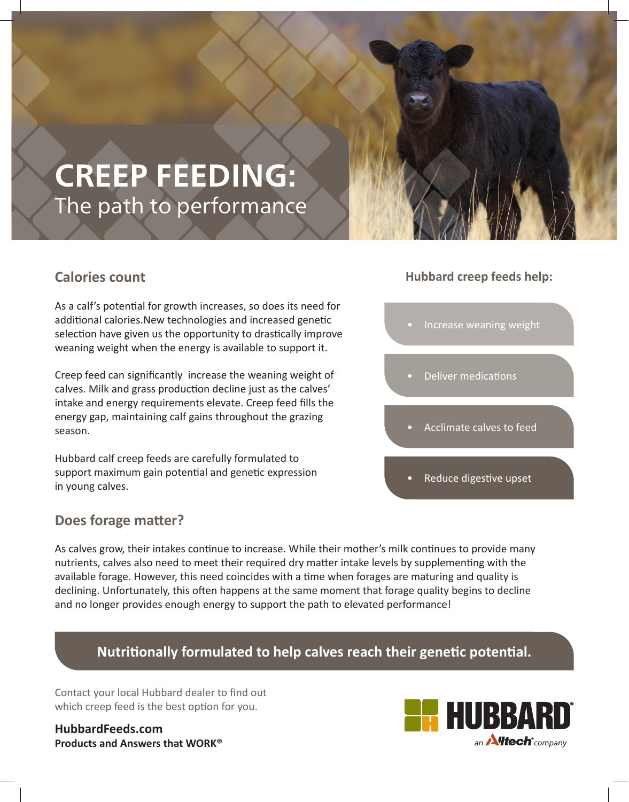## **CREEP FEEDING:** The path to performance

## **Calories count**

As a calf's potential for growth increases, so does its need for additional calories.New technologies and increased genetic selection have given us the opportunity to drastically improve weaning weight when the energy is available to support it.

Creep feed can significantly increase the weaning weight of calves. Milk and grass production decline just as the calves' intake and energy requirements elevate. Creep feed fills the energy gap, maintaining calf gains throughout the grazing season.

Hubbard calf creep feeds are carefully formulated to support maximum gain potential and genetic expression in young calves.

## **Does forage matter?**

As calves grow, their intakes continue to increase. While their mother's milk continues to provide many nutrients, calves also need to meet their required dry matter intake levels by supplementing with the available forage. However, this need coincides with a time when forages are maturing and quality is declining. Unfortunately, this often happens at the same moment that forage quality begins to decline and no longer provides enough energy to support the path to elevated performance!

## **Nutritionally formulated to help calves reach their genetic potential.**

Contact your local Hubbard dealer to find out which creep feed is the best option for you.

**HubbardFeeds.com Products and Answers that WORK®**

## **Hubbard creep feeds help:**

- Increase weaning weight
- Deliver medications
- Acclimate calves to feed
- Reduce digestive upset